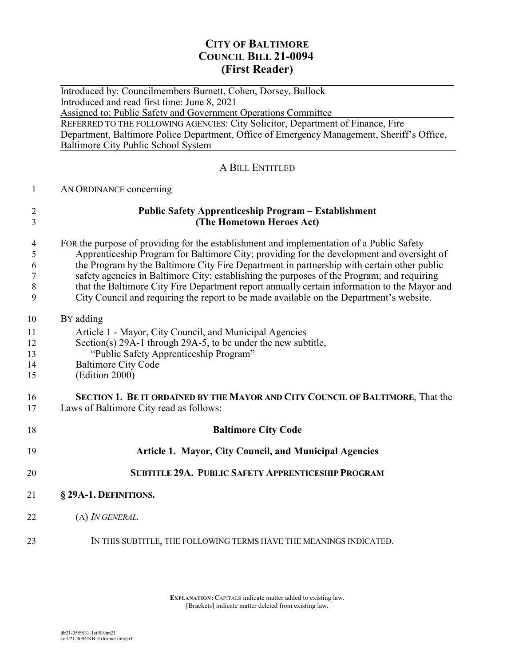# **CITY OF BALTIMORE COUNCIL BILL 21-0094 (First Reader)**

 $\overline{a}$ Introduced by: Councilmembers Burnett, Cohen, Dorsey, Bullock Introduced and read first time: June 8, 2021 Assigned to: Public Safety and Government Operations Committee REFERRED TO THE FOLLOWING AGENCIES: City Solicitor, Department of Finance, Fire Department, Baltimore Police Department, Office of Emergency Management, Sheriff's Office, Baltimore City Public School System

#### A BILL ENTITLED

| $\mathbf{1}$   | AN ORDINANCE concerning                                                                                                                                                                 |
|----------------|-----------------------------------------------------------------------------------------------------------------------------------------------------------------------------------------|
| 2<br>3         | <b>Public Safety Apprenticeship Program - Establishment</b><br>(The Hometown Heroes Act)                                                                                                |
| 4              | FOR the purpose of providing for the establishment and implementation of a Public Safety                                                                                                |
| 5              | Apprenticeship Program for Baltimore City; providing for the development and oversight of                                                                                               |
| 6              | the Program by the Baltimore City Fire Department in partnership with certain other public                                                                                              |
| $\overline{7}$ | safety agencies in Baltimore City; establishing the purposes of the Program; and requiring                                                                                              |
| $\,8\,$<br>9   | that the Baltimore City Fire Department report annually certain information to the Mayor and<br>City Council and requiring the report to be made available on the Department's website. |
| 10             | BY adding                                                                                                                                                                               |
| 11             | Article 1 - Mayor, City Council, and Municipal Agencies                                                                                                                                 |
| 12             | Section(s) 29A-1 through 29A-5, to be under the new subtitle,                                                                                                                           |
| 13             | "Public Safety Apprenticeship Program"                                                                                                                                                  |
| 14             | <b>Baltimore City Code</b>                                                                                                                                                              |
| 15             | (Edition 2000)                                                                                                                                                                          |
| 16             | SECTION 1. BE IT ORDAINED BY THE MAYOR AND CITY COUNCIL OF BALTIMORE, That the                                                                                                          |
| 17             | Laws of Baltimore City read as follows:                                                                                                                                                 |
| 18             | <b>Baltimore City Code</b>                                                                                                                                                              |
| 19             | <b>Article 1. Mayor, City Council, and Municipal Agencies</b>                                                                                                                           |
| 20             | <b>SUBTITLE 29A. PUBLIC SAFETY APPRENTICESHIP PROGRAM</b>                                                                                                                               |
| 21             | § 29A-1. DEFINITIONS.                                                                                                                                                                   |
| 22             | (A) <i>IN GENERAL</i> .                                                                                                                                                                 |
| 23             | IN THIS SUBTITLE, THE FOLLOWING TERMS HAVE THE MEANINGS INDICATED.                                                                                                                      |

**EXPLANATION:** CAPITALS indicate matter added to existing law. [Brackets] indicate matter deleted from existing law.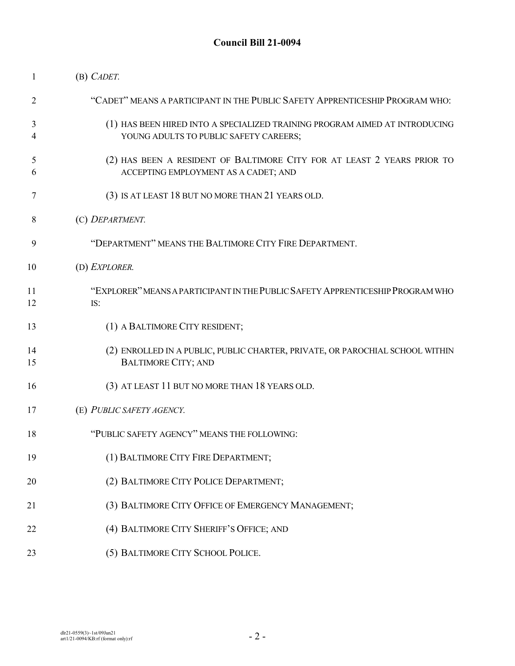| 1        | (B) CADET.                                                                                                            |
|----------|-----------------------------------------------------------------------------------------------------------------------|
| 2        | "CADET" MEANS A PARTICIPANT IN THE PUBLIC SAFETY APPRENTICESHIP PROGRAM WHO:                                          |
| 3<br>4   | (1) HAS BEEN HIRED INTO A SPECIALIZED TRAINING PROGRAM AIMED AT INTRODUCING<br>YOUNG ADULTS TO PUBLIC SAFETY CAREERS; |
| 5<br>6   | (2) HAS BEEN A RESIDENT OF BALTIMORE CITY FOR AT LEAST 2 YEARS PRIOR TO<br>ACCEPTING EMPLOYMENT AS A CADET; AND       |
| 7        | (3) IS AT LEAST 18 BUT NO MORE THAN 21 YEARS OLD.                                                                     |
| 8        | (C) DEPARTMENT.                                                                                                       |
| 9        | "DEPARTMENT" MEANS THE BALTIMORE CITY FIRE DEPARTMENT.                                                                |
| 10       | (D) EXPLORER.                                                                                                         |
| 11<br>12 | "EXPLORER" MEANS A PARTICIPANT IN THE PUBLIC SAFETY APPRENTICESHIP PROGRAM WHO<br>IS:                                 |
| 13       | (1) A BALTIMORE CITY RESIDENT;                                                                                        |
| 14<br>15 | (2) ENROLLED IN A PUBLIC, PUBLIC CHARTER, PRIVATE, OR PAROCHIAL SCHOOL WITHIN<br><b>BALTIMORE CITY; AND</b>           |
| 16       | (3) AT LEAST 11 BUT NO MORE THAN 18 YEARS OLD.                                                                        |
| 17       | (E) PUBLIC SAFETY AGENCY.                                                                                             |
| 18       | "PUBLIC SAFETY AGENCY" MEANS THE FOLLOWING:                                                                           |
| 19       | (1) BALTIMORE CITY FIRE DEPARTMENT;                                                                                   |
| 20       | (2) BALTIMORE CITY POLICE DEPARTMENT;                                                                                 |
| 21       | (3) BALTIMORE CITY OFFICE OF EMERGENCY MANAGEMENT;                                                                    |
| 22       | (4) BALTIMORE CITY SHERIFF'S OFFICE; AND                                                                              |
| 23       | (5) BALTIMORE CITY SCHOOL POLICE.                                                                                     |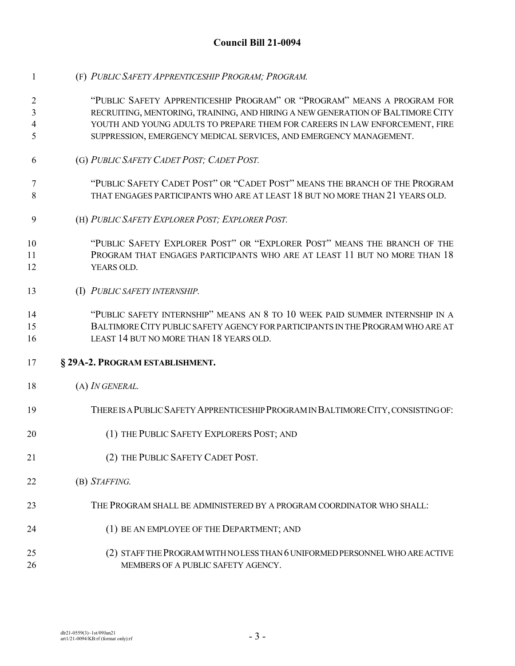- (F) *PUBLIC SAFETY APPRENTICESHIP PROGRAM; PROGRAM.*
- "PUBLIC SAFETY APPRENTICESHIP PROGRAM" OR "PROGRAM" MEANS A PROGRAM FOR RECRUITING, MENTORING, TRAINING, AND HIRING A NEW GENERATION OFBALTIMORECITY YOUTH AND YOUNG ADULTS TO PREPARE THEM FOR CAREERS IN LAW ENFORCEMENT, FIRE SUPPRESSION, EMERGENCY MEDICAL SERVICES, AND EMERGENCY MANAGEMENT.
- (G) *PUBLIC SAFETY CADET POST; CADET POST.*
- "PUBLIC SAFETY CADET POST" OR "CADET POST" MEANS THE BRANCH OF THE PROGRAM THAT ENGAGES PARTICIPANTS WHO ARE AT LEAST 18 BUT NO MORE THAN 21 YEARS OLD.
- (H) *PUBLIC SAFETY EXPLORER POST; EXPLORER POST.*
- "PUBLIC SAFETY EXPLORER POST" OR "EXPLORER POST" MEANS THE BRANCH OF THE PROGRAM THAT ENGAGES PARTICIPANTS WHO ARE AT LEAST 11 BUT NO MORE THAN 18 YEARS OLD.
- (I) *PUBLIC SAFETY INTERNSHIP.*
- "PUBLIC SAFETY INTERNSHIP" MEANS AN 8 TO 10 WEEK PAID SUMMER INTERNSHIP IN A BALTIMORECITY PUBLICSAFETY AGENCY FORPARTICIPANTS IN THEPROGRAMWHO ARE AT LEAST 14 BUT NO MORE THAN 18 YEARS OLD.

#### **§ 29A-2. PROGRAM ESTABLISHMENT.**

- (A) *IN GENERAL.*
- 19 THERE IS A PUBLIC SAFETY APPRENTICESHIP PROGRAM IN BALTIMORE CITY, CONSISTING OF:
- 20 (1) THE PUBLIC SAFETY EXPLORERS POST; AND
- 21 (2) THE PUBLIC SAFETY CADET POST.
- (B) *STAFFING.*
- THE PROGRAM SHALL BE ADMINISTERED BY A PROGRAM COORDINATOR WHO SHALL:
- (1) BE AN EMPLOYEE OF THE DEPARTMENT; AND
- 25 (2) STAFF THE PROGRAM WITH NOLESS THAN 6 UNIFORMED PERSONNEL WHO ARE ACTIVE 26 MEMBERS OF A PUBLIC SAFETY AGENCY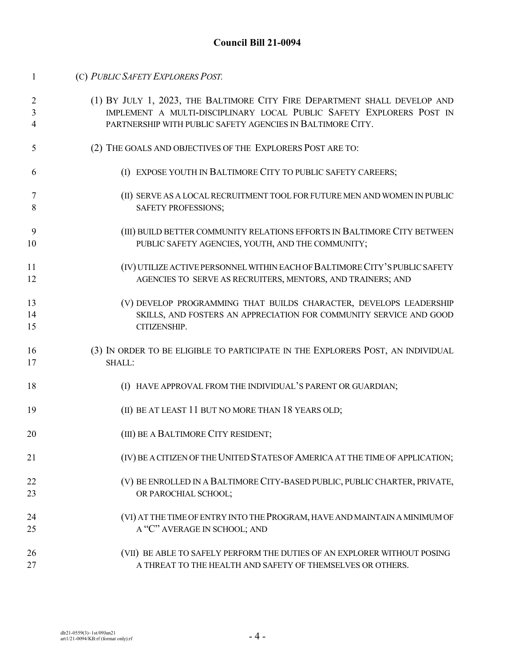| 1  | (C) PUBLIC SAFETY EXPLORERS POST.                                               |
|----|---------------------------------------------------------------------------------|
| 2  | (1) BY JULY 1, 2023, THE BALTIMORE CITY FIRE DEPARTMENT SHALL DEVELOP AND       |
| 3  | IMPLEMENT A MULTI-DISCIPLINARY LOCAL PUBLIC SAFETY EXPLORERS POST IN            |
| 4  | PARTNERSHIP WITH PUBLIC SAFETY AGENCIES IN BALTIMORE CITY.                      |
| 5  | (2) THE GOALS AND OBJECTIVES OF THE EXPLORERS POST ARE TO:                      |
| 6  | (I) EXPOSE YOUTH IN BALTIMORE CITY TO PUBLIC SAFETY CAREERS;                    |
| 7  | (II) SERVE AS A LOCAL RECRUITMENT TOOL FOR FUTURE MEN AND WOMEN IN PUBLIC       |
| 8  | SAFETY PROFESSIONS;                                                             |
| 9  | (III) BUILD BETTER COMMUNITY RELATIONS EFFORTS IN BALTIMORE CITY BETWEEN        |
| 10 | PUBLIC SAFETY AGENCIES, YOUTH, AND THE COMMUNITY;                               |
| 11 | (IV) UTILIZE ACTIVE PERSONNEL WITHIN EACH OF BALTIMORE CITY'S PUBLIC SAFETY     |
| 12 | AGENCIES TO SERVE AS RECRUITERS, MENTORS, AND TRAINERS; AND                     |
| 13 | (V) DEVELOP PROGRAMMING THAT BUILDS CHARACTER, DEVELOPS LEADERSHIP              |
| 14 | SKILLS, AND FOSTERS AN APPRECIATION FOR COMMUNITY SERVICE AND GOOD              |
| 15 | CITIZENSHIP.                                                                    |
| 16 | (3) IN ORDER TO BE ELIGIBLE TO PARTICIPATE IN THE EXPLORERS POST, AN INDIVIDUAL |
| 17 | SHALL:                                                                          |
| 18 | (I) HAVE APPROVAL FROM THE INDIVIDUAL'S PARENT OR GUARDIAN;                     |
| 19 | (II) BE AT LEAST 11 BUT NO MORE THAN 18 YEARS OLD;                              |
| 20 | (III) BE A BALTIMORE CITY RESIDENT;                                             |
| 21 | (IV) BE A CITIZEN OF THE UNITED STATES OF AMERICA AT THE TIME OF APPLICATION;   |
| 22 | (V) BE ENROLLED IN A BALTIMORE CITY-BASED PUBLIC, PUBLIC CHARTER, PRIVATE,      |
| 23 | OR PAROCHIAL SCHOOL;                                                            |
| 24 | (VI) AT THE TIME OF ENTRY INTO THE PROGRAM, HAVE AND MAINTAIN A MINIMUM OF      |
| 25 | A "C" AVERAGE IN SCHOOL; AND                                                    |
| 26 | (VII) BE ABLE TO SAFELY PERFORM THE DUTIES OF AN EXPLORER WITHOUT POSING        |
| 27 | A THREAT TO THE HEALTH AND SAFETY OF THEMSELVES OR OTHERS.                      |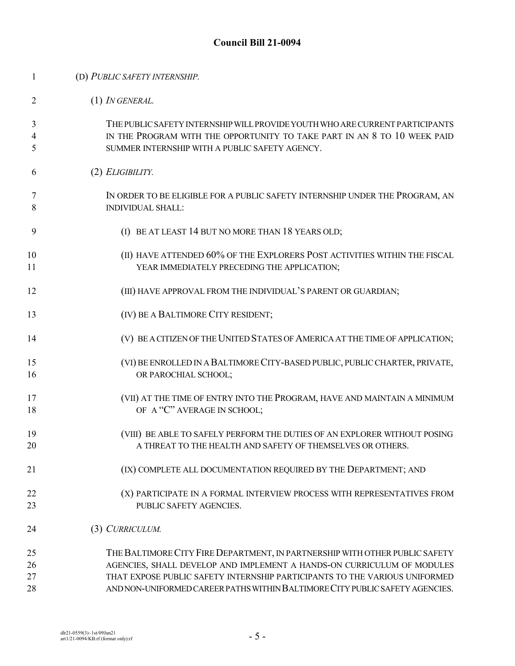| 1           | (D) PUBLIC SAFETY INTERNSHIP.                                                                                                                                                                              |
|-------------|------------------------------------------------------------------------------------------------------------------------------------------------------------------------------------------------------------|
| 2           | (1) IN GENERAL.                                                                                                                                                                                            |
| 3<br>4<br>5 | THE PUBLIC SAFETY INTERNSHIP WILL PROVIDE YOUTH WHO ARE CURRENT PARTICIPANTS<br>IN THE PROGRAM WITH THE OPPORTUNITY TO TAKE PART IN AN 8 TO 10 WEEK PAID<br>SUMMER INTERNSHIP WITH A PUBLIC SAFETY AGENCY. |
| 6           | (2) ELIGIBILITY.                                                                                                                                                                                           |
| 7<br>8      | IN ORDER TO BE ELIGIBLE FOR A PUBLIC SAFETY INTERNSHIP UNDER THE PROGRAM, AN<br><b>INDIVIDUAL SHALL:</b>                                                                                                   |
| 9           | (I) BE AT LEAST 14 BUT NO MORE THAN 18 YEARS OLD;                                                                                                                                                          |
| 10<br>11    | (II) HAVE ATTENDED 60% OF THE EXPLORERS POST ACTIVITIES WITHIN THE FISCAL<br>YEAR IMMEDIATELY PRECEDING THE APPLICATION;                                                                                   |
| 12          | (III) HAVE APPROVAL FROM THE INDIVIDUAL'S PARENT OR GUARDIAN;                                                                                                                                              |
| 13          | (IV) BE A BALTIMORE CITY RESIDENT;                                                                                                                                                                         |
| 14          | (V) BE A CITIZEN OF THE UNITED STATES OF AMERICA AT THE TIME OF APPLICATION;                                                                                                                               |
| 15<br>16    | (VI) BE ENROLLED IN A BALTIMORE CITY-BASED PUBLIC, PUBLIC CHARTER, PRIVATE,<br>OR PAROCHIAL SCHOOL;                                                                                                        |
| 17<br>18    | (VII) AT THE TIME OF ENTRY INTO THE PROGRAM, HAVE AND MAINTAIN A MINIMUM<br>OF A "C" AVERAGE IN SCHOOL;                                                                                                    |
| 19<br>20    | (VIII) BE ABLE TO SAFELY PERFORM THE DUTIES OF AN EXPLORER WITHOUT POSING<br>A THREAT TO THE HEALTH AND SAFETY OF THEMSELVES OR OTHERS.                                                                    |
| 21          | (IX) COMPLETE ALL DOCUMENTATION REQUIRED BY THE DEPARTMENT; AND                                                                                                                                            |
| 22<br>23    | (X) PARTICIPATE IN A FORMAL INTERVIEW PROCESS WITH REPRESENTATIVES FROM<br>PUBLIC SAFETY AGENCIES.                                                                                                         |
| 24          | (3) CURRICULUM.                                                                                                                                                                                            |
| 25<br>26    | THE BALTIMORE CITY FIRE DEPARTMENT, IN PARTNERSHIP WITH OTHER PUBLIC SAFETY<br>AGENCIES, SHALL DEVELOP AND IMPLEMENT A HANDS-ON CURRICULUM OF MODULES                                                      |
| 27          | THAT EXPOSE PUBLIC SAFETY INTERNSHIP PARTICIPANTS TO THE VARIOUS UNIFORMED                                                                                                                                 |
| 28          | AND NON-UNIFORMED CAREER PATHS WITHIN BALTIMORE CITY PUBLIC SAFETY AGENCIES.                                                                                                                               |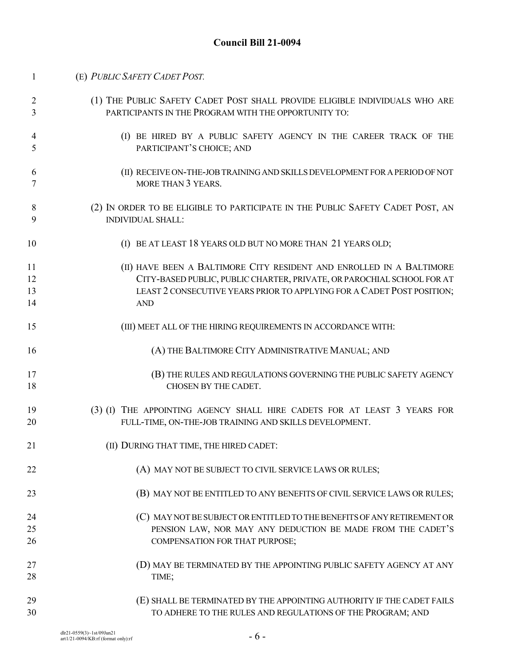| $\mathbf{1}$ | (E) PUBLIC SAFETY CADET POST.                                                  |
|--------------|--------------------------------------------------------------------------------|
| 2            | (1) THE PUBLIC SAFETY CADET POST SHALL PROVIDE ELIGIBLE INDIVIDUALS WHO ARE    |
| 3            | PARTICIPANTS IN THE PROGRAM WITH THE OPPORTUNITY TO:                           |
| 4            | (I) BE HIRED BY A PUBLIC SAFETY AGENCY IN THE CAREER TRACK OF THE              |
| 5            | PARTICIPANT'S CHOICE; AND                                                      |
| 6            | (II) RECEIVE ON-THE-JOB TRAINING AND SKILLS DEVELOPMENT FOR A PERIOD OF NOT    |
| 7            | MORE THAN 3 YEARS.                                                             |
| 8            | (2) IN ORDER TO BE ELIGIBLE TO PARTICIPATE IN THE PUBLIC SAFETY CADET POST, AN |
| 9            | <b>INDIVIDUAL SHALL:</b>                                                       |
| 10           | (I) BE AT LEAST 18 YEARS OLD BUT NO MORE THAN 21 YEARS OLD;                    |
| 11           | (II) HAVE BEEN A BALTIMORE CITY RESIDENT AND ENROLLED IN A BALTIMORE           |
| 12           | CITY-BASED PUBLIC, PUBLIC CHARTER, PRIVATE, OR PAROCHIAL SCHOOL FOR AT         |
| 13           | LEAST 2 CONSECUTIVE YEARS PRIOR TO APPLYING FOR A CADET POST POSITION;         |
| 14           | <b>AND</b>                                                                     |
| 15           | (III) MEET ALL OF THE HIRING REQUIREMENTS IN ACCORDANCE WITH:                  |
| 16           | (A) THE BALTIMORE CITY ADMINISTRATIVE MANUAL; AND                              |
| 17           | (B) THE RULES AND REGULATIONS GOVERNING THE PUBLIC SAFETY AGENCY               |
| 18           | CHOSEN BY THE CADET.                                                           |
| 19           | (3) (1) THE APPOINTING AGENCY SHALL HIRE CADETS FOR AT LEAST 3 YEARS FOR       |
| 20           | FULL-TIME, ON-THE-JOB TRAINING AND SKILLS DEVELOPMENT.                         |
| 21           | (II) DURING THAT TIME, THE HIRED CADET:                                        |
| 22           | (A) MAY NOT BE SUBJECT TO CIVIL SERVICE LAWS OR RULES;                         |
| 23           | (B) MAY NOT BE ENTITLED TO ANY BENEFITS OF CIVIL SERVICE LAWS OR RULES;        |
| 24           | (C) MAY NOT BE SUBJECT OR ENTITLED TO THE BENEFITS OF ANY RETIREMENT OR        |
| 25           | PENSION LAW, NOR MAY ANY DEDUCTION BE MADE FROM THE CADET'S                    |
| 26           | COMPENSATION FOR THAT PURPOSE;                                                 |
| 27           | (D) MAY BE TERMINATED BY THE APPOINTING PUBLIC SAFETY AGENCY AT ANY            |
| 28           | TIME;                                                                          |
| 29           | (E) SHALL BE TERMINATED BY THE APPOINTING AUTHORITY IF THE CADET FAILS         |
| 30           | TO ADHERE TO THE RULES AND REGULATIONS OF THE PROGRAM; AND                     |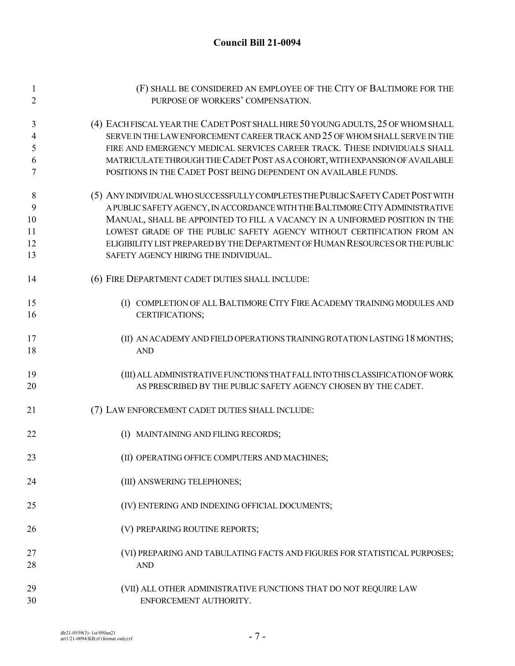# **Council Bill 21-0094**

| $\mathbf{1}$   | (F) SHALL BE CONSIDERED AN EMPLOYEE OF THE CITY OF BALTIMORE FOR THE             |
|----------------|----------------------------------------------------------------------------------|
| $\overline{2}$ | PURPOSE OF WORKERS' COMPENSATION.                                                |
| 3              | (4) EACH FISCAL YEAR THE CADET POST SHALL HIRE 50 YOUNG ADULTS, 25 OF WHOM SHALL |
| 4              | SERVE IN THE LAW ENFORCEMENT CAREER TRACK AND 25 OF WHOM SHALL SERVE IN THE      |
| 5              | FIRE AND EMERGENCY MEDICAL SERVICES CAREER TRACK. THESE INDIVIDUALS SHALL        |
| 6              | MATRICULATE THROUGH THE CADET POST AS A COHORT, WITH EXPANSION OF AVAILABLE      |
| 7              | POSITIONS IN THE CADET POST BEING DEPENDENT ON AVAILABLE FUNDS.                  |
| 8              | (5) ANY INDIVIDUAL WHO SUCCESSFULLY COMPLETES THE PUBLIC SAFETY CADET POST WITH  |
| 9              | A PUBLIC SAFETY AGENCY, IN ACCORDANCE WITH THE BALTIMORE CITY ADMINISTRATIVE     |
| 10             | MANUAL, SHALL BE APPOINTED TO FILL A VACANCY IN A UNIFORMED POSITION IN THE      |
| 11             | LOWEST GRADE OF THE PUBLIC SAFETY AGENCY WITHOUT CERTIFICATION FROM AN           |
| 12             | ELIGIBILITY LIST PREPARED BY THE DEPARTMENT OF HUMAN RESOURCES OR THE PUBLIC     |
| 13             | SAFETY AGENCY HIRING THE INDIVIDUAL.                                             |
| 14             | (6) FIRE DEPARTMENT CADET DUTIES SHALL INCLUDE:                                  |
| 15             | (I) COMPLETION OF ALL BALTIMORE CITY FIRE ACADEMY TRAINING MODULES AND           |
| 16             | CERTIFICATIONS;                                                                  |
| 17             | (II) AN ACADEMY AND FIELD OPERATIONS TRAINING ROTATION LASTING 18 MONTHS;        |
| 18             | <b>AND</b>                                                                       |
| 19             | (III) ALL ADMINISTRATIVE FUNCTIONS THAT FALL INTO THIS CLASSIFICATION OF WORK    |
| 20             | AS PRESCRIBED BY THE PUBLIC SAFETY AGENCY CHOSEN BY THE CADET.                   |
| 21             | (7) LAW ENFORCEMENT CADET DUTIES SHALL INCLUDE:                                  |
| 22             | (I) MAINTAINING AND FILING RECORDS;                                              |
| 23             | (II) OPERATING OFFICE COMPUTERS AND MACHINES;                                    |
| 24             | (III) ANSWERING TELEPHONES;                                                      |
| 25             | (IV) ENTERING AND INDEXING OFFICIAL DOCUMENTS;                                   |
| 26             | (V) PREPARING ROUTINE REPORTS;                                                   |
| 27             | (VI) PREPARING AND TABULATING FACTS AND FIGURES FOR STATISTICAL PURPOSES;        |
| 28             | <b>AND</b>                                                                       |
| 29             | (VII) ALL OTHER ADMINISTRATIVE FUNCTIONS THAT DO NOT REQUIRE LAW                 |
| 30             | ENFORCEMENT AUTHORITY.                                                           |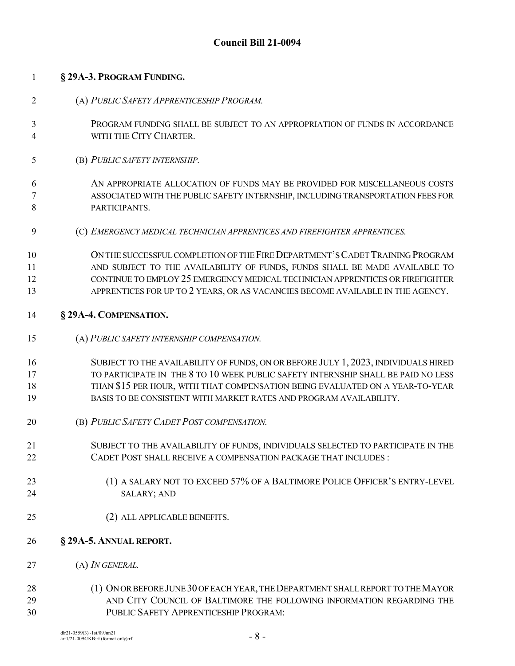# **Council Bill 21-0094**

| $\mathbf{1}$   | § 29A-3. PROGRAM FUNDING.                                                          |
|----------------|------------------------------------------------------------------------------------|
| $\overline{2}$ | (A) PUBLIC SAFETY APPRENTICESHIP PROGRAM.                                          |
| 3              | PROGRAM FUNDING SHALL BE SUBJECT TO AN APPROPRIATION OF FUNDS IN ACCORDANCE        |
| 4              | WITH THE CITY CHARTER.                                                             |
| 5              | (B) PUBLIC SAFETY INTERNSHIP.                                                      |
| 6              | AN APPROPRIATE ALLOCATION OF FUNDS MAY BE PROVIDED FOR MISCELLANEOUS COSTS         |
| 7              | ASSOCIATED WITH THE PUBLIC SAFETY INTERNSHIP, INCLUDING TRANSPORTATION FEES FOR    |
| 8              | PARTICIPANTS.                                                                      |
| 9              | (C) EMERGENCY MEDICAL TECHNICIAN APPRENTICES AND FIREFIGHTER APPRENTICES.          |
| 10             | ON THE SUCCESSFUL COMPLETION OF THE FIRE DEPARTMENT'S CADET TRAINING PROGRAM       |
| 11             | AND SUBJECT TO THE AVAILABILITY OF FUNDS, FUNDS SHALL BE MADE AVAILABLE TO         |
| 12             | CONTINUE TO EMPLOY 25 EMERGENCY MEDICAL TECHNICIAN APPRENTICES OR FIREFIGHTER      |
| 13             | APPRENTICES FOR UP TO 2 YEARS, OR AS VACANCIES BECOME AVAILABLE IN THE AGENCY.     |
| 14             | § 29A-4. COMPENSATION.                                                             |
| 15             | (A) PUBLIC SAFETY INTERNSHIP COMPENSATION.                                         |
| 16             | SUBJECT TO THE AVAILABILITY OF FUNDS, ON OR BEFORE JULY 1, 2023, INDIVIDUALS HIRED |
| 17             | TO PARTICIPATE IN THE 8 TO 10 WEEK PUBLIC SAFETY INTERNSHIP SHALL BE PAID NO LESS  |
| 18             | THAN \$15 PER HOUR, WITH THAT COMPENSATION BEING EVALUATED ON A YEAR-TO-YEAR       |
| 19             | BASIS TO BE CONSISTENT WITH MARKET RATES AND PROGRAM AVAILABILITY.                 |
| 20             | (B) PUBLIC SAFETY CADET POST COMPENSATION.                                         |
| 21             | SUBJECT TO THE AVAILABILITY OF FUNDS, INDIVIDUALS SELECTED TO PARTICIPATE IN THE   |
| 22             | CADET POST SHALL RECEIVE A COMPENSATION PACKAGE THAT INCLUDES :                    |
| 23             | (1) A SALARY NOT TO EXCEED 57% OF A BALTIMORE POLICE OFFICER'S ENTRY-LEVEL         |
| 24             | <b>SALARY; AND</b>                                                                 |
| 25             | (2) ALL APPLICABLE BENEFITS.                                                       |
| 26             | § 29A-5. ANNUAL REPORT.                                                            |
| 27             | (A) <i>IN GENERAL</i> .                                                            |
| 28             | (1) ON OR BEFORE JUNE 30 OF EACH YEAR, THE DEPARTMENT SHALL REPORT TO THE MAYOR    |
| 29             | AND CITY COUNCIL OF BALTIMORE THE FOLLOWING INFORMATION REGARDING THE              |
| 30             | PUBLIC SAFETY APPRENTICESHIP PROGRAM:                                              |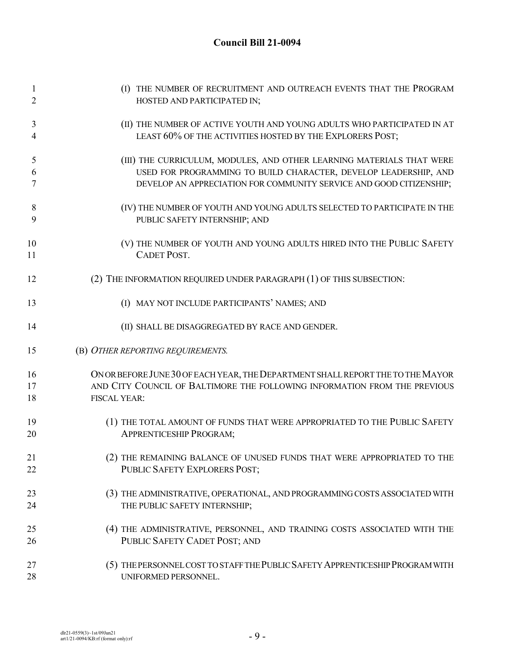# **Council Bill 21-0094**

| $\mathbf{1}$   | (I) THE NUMBER OF RECRUITMENT AND OUTREACH EVENTS THAT THE PROGRAM              |
|----------------|---------------------------------------------------------------------------------|
| $\overline{2}$ | HOSTED AND PARTICIPATED IN;                                                     |
| 3              | (II) THE NUMBER OF ACTIVE YOUTH AND YOUNG ADULTS WHO PARTICIPATED IN AT         |
| 4              | LEAST 60% OF THE ACTIVITIES HOSTED BY THE EXPLORERS POST;                       |
| 5              | (III) THE CURRICULUM, MODULES, AND OTHER LEARNING MATERIALS THAT WERE           |
| 6              | USED FOR PROGRAMMING TO BUILD CHARACTER, DEVELOP LEADERSHIP, AND                |
| 7              | DEVELOP AN APPRECIATION FOR COMMUNITY SERVICE AND GOOD CITIZENSHIP;             |
| 8              | (IV) THE NUMBER OF YOUTH AND YOUNG ADULTS SELECTED TO PARTICIPATE IN THE        |
| 9              | PUBLIC SAFETY INTERNSHIP; AND                                                   |
| 10             | (V) THE NUMBER OF YOUTH AND YOUNG ADULTS HIRED INTO THE PUBLIC SAFETY           |
| 11             | <b>CADET POST.</b>                                                              |
| 12             | (2) THE INFORMATION REQUIRED UNDER PARAGRAPH (1) OF THIS SUBSECTION:            |
| 13             | (I) MAY NOT INCLUDE PARTICIPANTS' NAMES; AND                                    |
| 14             | (II) SHALL BE DISAGGREGATED BY RACE AND GENDER.                                 |
| 15             | (B) OTHER REPORTING REQUIREMENTS.                                               |
| 16             | ON OR BEFORE JUNE 30 OF EACH YEAR, THE DEPARTMENT SHALL REPORT THE TO THE MAYOR |
| 17             | AND CITY COUNCIL OF BALTIMORE THE FOLLOWING INFORMATION FROM THE PREVIOUS       |
| 18             | FISCAL YEAR:                                                                    |
| 19             | (1) THE TOTAL AMOUNT OF FUNDS THAT WERE APPROPRIATED TO THE PUBLIC SAFETY       |
| 20             | <b>APPRENTICESHIP PROGRAM;</b>                                                  |
| 21             | (2) THE REMAINING BALANCE OF UNUSED FUNDS THAT WERE APPROPRIATED TO THE         |
| 22             | PUBLIC SAFETY EXPLORERS POST;                                                   |
| 23             | (3) THE ADMINISTRATIVE, OPERATIONAL, AND PROGRAMMING COSTS ASSOCIATED WITH      |
| 24             | THE PUBLIC SAFETY INTERNSHIP;                                                   |
| 25             | (4) THE ADMINISTRATIVE, PERSONNEL, AND TRAINING COSTS ASSOCIATED WITH THE       |
| 26             | PUBLIC SAFETY CADET POST; AND                                                   |
| 27             | (5) THE PERSONNEL COST TO STAFF THE PUBLIC SAFETY APPRENTICESHIP PROGRAM WITH   |
| 28             | UNIFORMED PERSONNEL.                                                            |